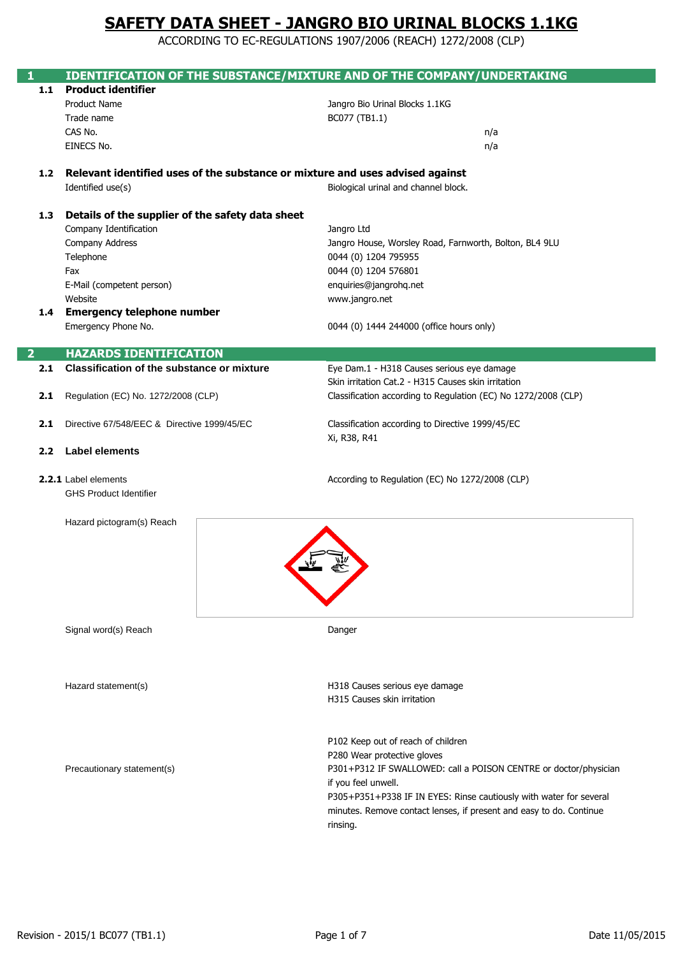ACCORDING TO EC-REGULATIONS 1907/2006 (REACH) 1272/2008 (CLP)

|     | <b>IDENTIFICATION OF THE SUBSTANCE/MIXTURE AND OF THE COMPANY/UNDERTAKING</b> |                                                                     |
|-----|-------------------------------------------------------------------------------|---------------------------------------------------------------------|
| 1.1 | <b>Product identifier</b>                                                     |                                                                     |
|     | <b>Product Name</b>                                                           | Jangro Bio Urinal Blocks 1.1KG                                      |
|     | Trade name                                                                    | BC077 (TB1.1)                                                       |
|     | CAS No.<br>EINECS No.                                                         | n/a                                                                 |
|     |                                                                               | n/a                                                                 |
| 1.2 | Relevant identified uses of the substance or mixture and uses advised against |                                                                     |
|     | Identified use(s)                                                             | Biological urinal and channel block.                                |
|     |                                                                               |                                                                     |
| 1.3 | Details of the supplier of the safety data sheet                              |                                                                     |
|     | Company Identification                                                        | Jangro Ltd                                                          |
|     | Company Address                                                               | Jangro House, Worsley Road, Farnworth, Bolton, BL4 9LU              |
|     | Telephone                                                                     | 0044 (0) 1204 795955                                                |
|     | Fax                                                                           | 0044 (0) 1204 576801                                                |
|     | E-Mail (competent person)                                                     | enquiries@jangrohq.net                                              |
|     | Website                                                                       | www.jangro.net                                                      |
|     | 1.4 Emergency telephone number                                                |                                                                     |
|     | Emergency Phone No.                                                           | 0044 (0) 1444 244000 (office hours only)                            |
|     |                                                                               |                                                                     |
| 2   | <b>HAZARDS IDENTIFICATION</b>                                                 |                                                                     |
| 2.1 | Classification of the substance or mixture                                    | Eye Dam.1 - H318 Causes serious eye damage                          |
|     |                                                                               | Skin irritation Cat.2 - H315 Causes skin irritation                 |
| 2.1 | Regulation (EC) No. 1272/2008 (CLP)                                           | Classification according to Regulation (EC) No 1272/2008 (CLP)      |
|     |                                                                               |                                                                     |
| 2.1 | Directive 67/548/EEC & Directive 1999/45/EC                                   | Classification according to Directive 1999/45/EC                    |
|     | Xi, R38, R41                                                                  |                                                                     |
| 2.2 | <b>Label elements</b>                                                         |                                                                     |
|     | 2.2.1 Label elements                                                          | According to Regulation (EC) No 1272/2008 (CLP)                     |
|     | <b>GHS Product Identifier</b>                                                 |                                                                     |
|     |                                                                               |                                                                     |
|     | Hazard pictogram(s) Reach                                                     |                                                                     |
|     |                                                                               |                                                                     |
|     |                                                                               |                                                                     |
|     |                                                                               |                                                                     |
|     |                                                                               | E.                                                                  |
|     |                                                                               |                                                                     |
|     |                                                                               |                                                                     |
|     |                                                                               |                                                                     |
|     | Signal word(s) Reach                                                          | Danger                                                              |
|     |                                                                               |                                                                     |
|     |                                                                               |                                                                     |
|     | Hazard statement(s)                                                           | H318 Causes serious eye damage                                      |
|     |                                                                               | H315 Causes skin irritation                                         |
|     |                                                                               |                                                                     |
|     |                                                                               |                                                                     |
|     |                                                                               | P102 Keep out of reach of children                                  |
|     |                                                                               | P280 Wear protective gloves                                         |
|     | Precautionary statement(s)                                                    | P301+P312 IF SWALLOWED: call a POISON CENTRE or doctor/physician    |
|     |                                                                               | if you feel unwell.                                                 |
|     |                                                                               | P305+P351+P338 IF IN EYES: Rinse cautiously with water for several  |
|     |                                                                               | minutes. Remove contact lenses, if present and easy to do. Continue |
|     |                                                                               | rinsing.                                                            |
|     |                                                                               |                                                                     |
|     |                                                                               |                                                                     |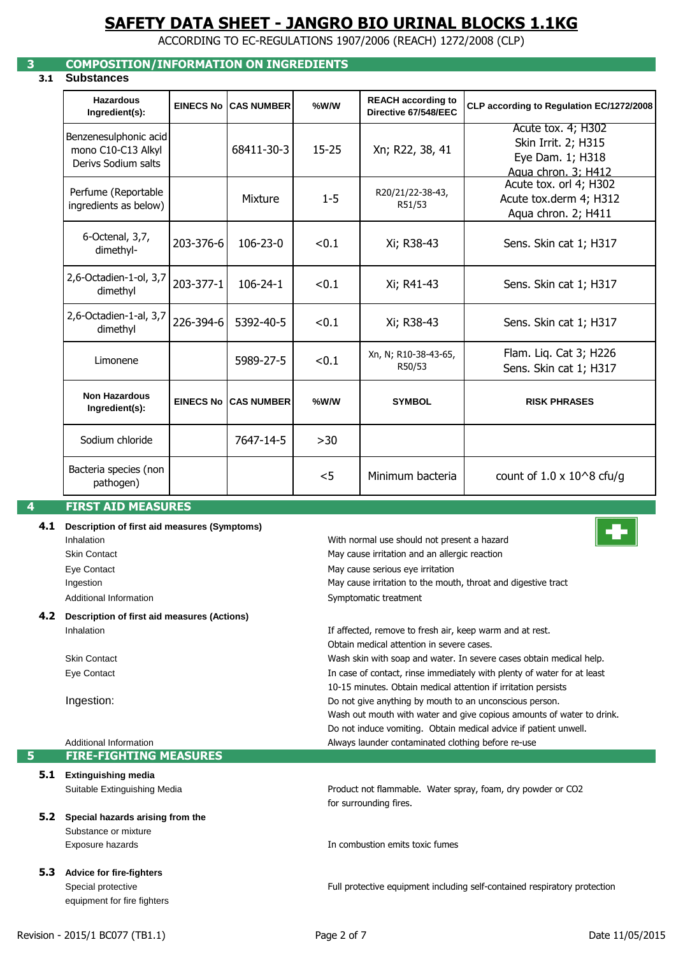ACCORDING TO EC-REGULATIONS 1907/2006 (REACH) 1272/2008 (CLP)

### **3 COMPOSITION/INFORMATION ON INGREDIENTS**

### **3.1 Substances**

| <b>Hazardous</b><br>Ingredient(s):                                 | <b>EINECS No</b> | <b>CAS NUMBER</b> | %W/W      | <b>REACH according to</b><br>Directive 67/548/EEC | CLP according to Regulation EC/1272/2008                                             |
|--------------------------------------------------------------------|------------------|-------------------|-----------|---------------------------------------------------|--------------------------------------------------------------------------------------|
| Benzenesulphonic acid<br>mono C10-C13 Alkyl<br>Derivs Sodium salts |                  | 68411-30-3        | $15 - 25$ | Xn; R22, 38, 41                                   | Acute tox. 4; H302<br>Skin Irrit. 2; H315<br>Eye Dam. 1; H318<br>Agua chron. 3: H412 |
| Perfume (Reportable<br>ingredients as below)                       |                  | Mixture           | $1 - 5$   | R20/21/22-38-43,<br>R51/53                        | Acute tox. orl 4; H302<br>Acute tox.derm 4; H312<br>Aqua chron. 2; H411              |
| 6-Octenal, 3,7,<br>dimethyl-                                       | 203-376-6        | 106-23-0          | < 0.1     | Xi; R38-43                                        | Sens. Skin cat 1; H317                                                               |
| 2,6-Octadien-1-ol, 3,7<br>dimethyl                                 | 203-377-1        | $106 - 24 - 1$    | < 0.1     | Xi; R41-43                                        | Sens. Skin cat 1; H317                                                               |
| 2,6-Octadien-1-al, 3,7<br>dimethyl                                 | 226-394-6        | 5392-40-5         | < 0.1     | Xi; R38-43                                        | Sens. Skin cat 1; H317                                                               |
| Limonene                                                           |                  | 5989-27-5         | < 0.1     | Xn, N; R10-38-43-65,<br>R50/53                    | Flam. Liq. Cat 3; H226<br>Sens. Skin cat 1; H317                                     |
| <b>Non Hazardous</b><br>Ingredient(s):                             | <b>EINECS No</b> | <b>CAS NUMBER</b> | %W/W      | <b>SYMBOL</b>                                     | <b>RISK PHRASES</b>                                                                  |
| Sodium chloride                                                    |                  | 7647-14-5         | >30       |                                                   |                                                                                      |
| Bacteria species (non<br>pathogen)                                 |                  |                   | $<$ 5     | Minimum bacteria                                  | count of $1.0 \times 10^{8}$ cfu/g                                                   |

### **4 FIRST AID MEASURES**

## **4.1 Description of first aid measures (Symptoms)** Inhalation Skin Contact

Eye Contact Ingestion Additional Information

**4.2 Description of first aid measures (Actions)**

Inhalation

Skin Contact Eye Contact

#### Ingestion: Additional Information **5 FIRE-FIGHTING MEASURES 5.1 Extinguishing media** Suitable Extinguishing Media for surrounding fires. **5.2 Special hazards arising from the**  Substance or mixture Exposure hazards **5.3 Advice for fire-fighters** Special protective equipment for fire fighters In combustion emits toxic fumes Full protective equipment including self-contained respiratory protection Wash out mouth with water and give copious amounts of water to drink. Product not flammable. Water spray, foam, dry powder or CO2 10-15 minutes. Obtain medical attention if irritation persists Do not induce vomiting. Obtain medical advice if patient unwell. Always launder contaminated clothing before re-use In case of contact, rinse immediately with plenty of water for at least Do not give anything by mouth to an unconscious person.

If affected, remove to fresh air, keep warm and at rest.

May cause irritation to the mouth, throat and digestive tract

Wash skin with soap and water. In severe cases obtain medical help.

Obtain medical attention in severe cases.

May cause irritation and an allergic reaction

With normal use should not present a hazard

May cause serious eye irritation

Symptomatic treatment

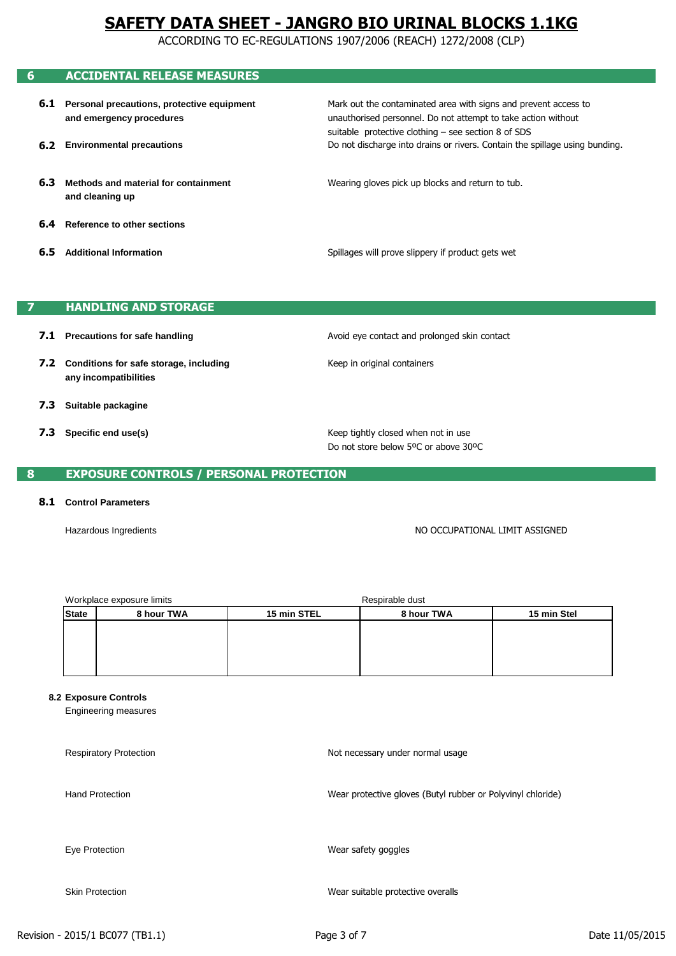ACCORDING TO EC-REGULATIONS 1907/2006 (REACH) 1272/2008 (CLP)

# **6 ACCIDENTAL RELEASE MEASURES**

- **6.1 Personal precautions, protective equipment and emergency procedures**
- **6.2 Environmental precautions**

suitable protective clothing – see section 8 of SDS Mark out the contaminated area with signs and prevent access to Do not discharge into drains or rivers. Contain the spillage using bunding. unauthorised personnel. Do not attempt to take action without

- **6.3 Methods and material for containment and cleaning up**
- **6.4 Reference to other sections**
- **6.5 Additional Information**

Spillages will prove slippery if product gets wet

Wearing gloves pick up blocks and return to tub.

#### **7 HANDLING AND STORAGE**

- **7.1 Precautions for safe handling**
- **7.2 Conditions for safe storage, including any incompatibilities**
- **7.3 Suitable packagine**
- **7.3 Specific end use(s)**

Avoid eye contact and prolonged skin contact

Keep in original containers

Keep tightly closed when not in use Do not store below 5ºC or above 30ºC

#### **8 EXPOSURE CONTROLS / PERSONAL PROTECTION**

#### **8.1 Control Parameters**

Hazardous Ingredients

NO OCCUPATIONAL LIMIT ASSIGNED

| 8 hour TWA | 8 hour TWA<br>15 min STEL |  | 15 min Stel     |
|------------|---------------------------|--|-----------------|
|            |                           |  |                 |
|            |                           |  |                 |
|            |                           |  |                 |
|            |                           |  |                 |
|            | Workplace exposure limits |  | Respirable dust |

#### **8.2 Exposure Controls**

Engineering measures

Respiratory Protection Hand Protection Eye Protection Skin Protection Wear suitable protective overalls Wear protective gloves (Butyl rubber or Polyvinyl chloride) Wear safety goggles Not necessary under normal usage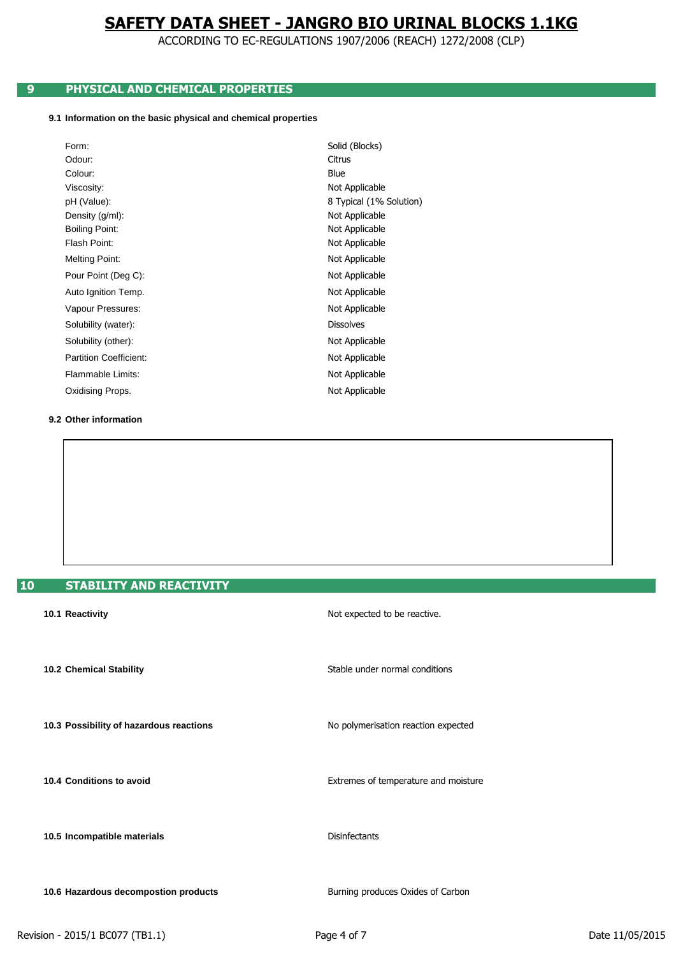ACCORDING TO EC-REGULATIONS 1907/2006 (REACH) 1272/2008 (CLP)

## **9 PHYSICAL AND CHEMICAL PROPERTIES**

### **9.1 Information on the basic physical and chemical properties**

| Form:                         | Solid (Blocks)          |
|-------------------------------|-------------------------|
| Odour:                        | Citrus                  |
| Colour:                       | Blue                    |
| Viscosity:                    | Not Applicable          |
| pH (Value):                   | 8 Typical (1% Solution) |
| Density (g/ml):               | Not Applicable          |
| <b>Boiling Point:</b>         | Not Applicable          |
| Flash Point:                  | Not Applicable          |
| Melting Point:                | Not Applicable          |
| Pour Point (Deg C):           | Not Applicable          |
| Auto Ignition Temp.           | Not Applicable          |
| Vapour Pressures:             | Not Applicable          |
| Solubility (water):           | <b>Dissolves</b>        |
| Solubility (other):           | Not Applicable          |
| <b>Partition Coefficient:</b> | Not Applicable          |
| Flammable Limits:             | Not Applicable          |
| Oxidising Props.              | Not Applicable          |

**9.2 Other information**

## **10 STABILITY AND REACTIVITY**

| 10.1 Reactivity                         | Not expected to be reactive.         |
|-----------------------------------------|--------------------------------------|
| 10.2 Chemical Stability                 | Stable under normal conditions       |
| 10.3 Possibility of hazardous reactions | No polymerisation reaction expected  |
| 10.4 Conditions to avoid                | Extremes of temperature and moisture |
| 10.5 Incompatible materials             | <b>Disinfectants</b>                 |
| 10.6 Hazardous decompostion products    | Burning produces Oxides of Carbon    |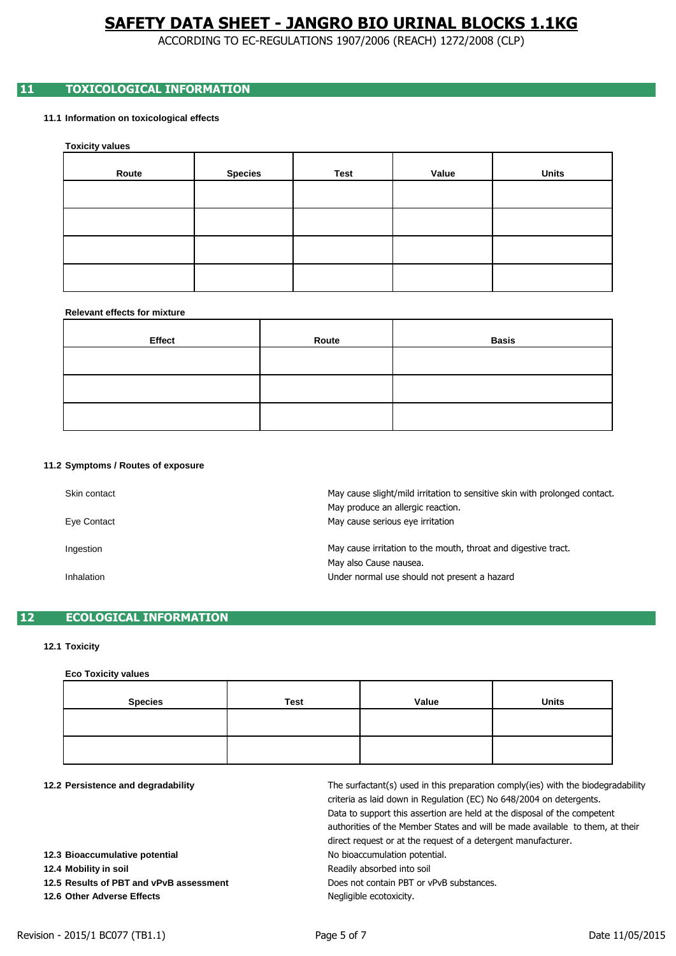ACCORDING TO EC-REGULATIONS 1907/2006 (REACH) 1272/2008 (CLP)

### **11 TOXICOLOGICAL INFORMATION**

**11.1 Information on toxicological effects**

**Toxicity values**

| Route | <b>Species</b> | <b>Test</b> | Value | <b>Units</b> |
|-------|----------------|-------------|-------|--------------|
|       |                |             |       |              |
|       |                |             |       |              |
|       |                |             |       |              |
|       |                |             |       |              |

#### **Relevant effects for mixture**

| Effect | Route | Basis |
|--------|-------|-------|
|        |       |       |
|        |       |       |
|        |       |       |

#### **11.2 Symptoms / Routes of exposure**

| Skin contact | May cause slight/mild irritation to sensitive skin with prolonged contact.<br>May produce an allergic reaction. |
|--------------|-----------------------------------------------------------------------------------------------------------------|
| Eye Contact  | May cause serious eye irritation                                                                                |
| Ingestion    | May cause irritation to the mouth, throat and digestive tract.<br>May also Cause nausea.                        |
| Inhalation   | Under normal use should not present a hazard                                                                    |

### **12 ECOLOGICAL INFORMATION**

#### **12.1 Toxicity**

### **Eco Toxicity values**

| <b>Species</b> | <b>Test</b> | Value | <b>Units</b> |
|----------------|-------------|-------|--------------|
|                |             |       |              |
|                |             |       |              |

**12.2 Persistence and degradability**

Does not contain PBT or vPvB substances. No bioaccumulation potential. Readily absorbed into soil Data to support this assertion are held at the disposal of the competent authorities of the Member States and will be made available to them, at their criteria as laid down in Regulation (EC) No 648/2004 on detergents. Negligible ecotoxicity. direct request or at the request of a detergent manufacturer. The surfactant(s) used in this preparation comply(ies) with the biodegradability

**12.4 Mobility in soil**

**12.5 Results of PBT and vPvB assessment**

**12.6 Other Adverse Effects**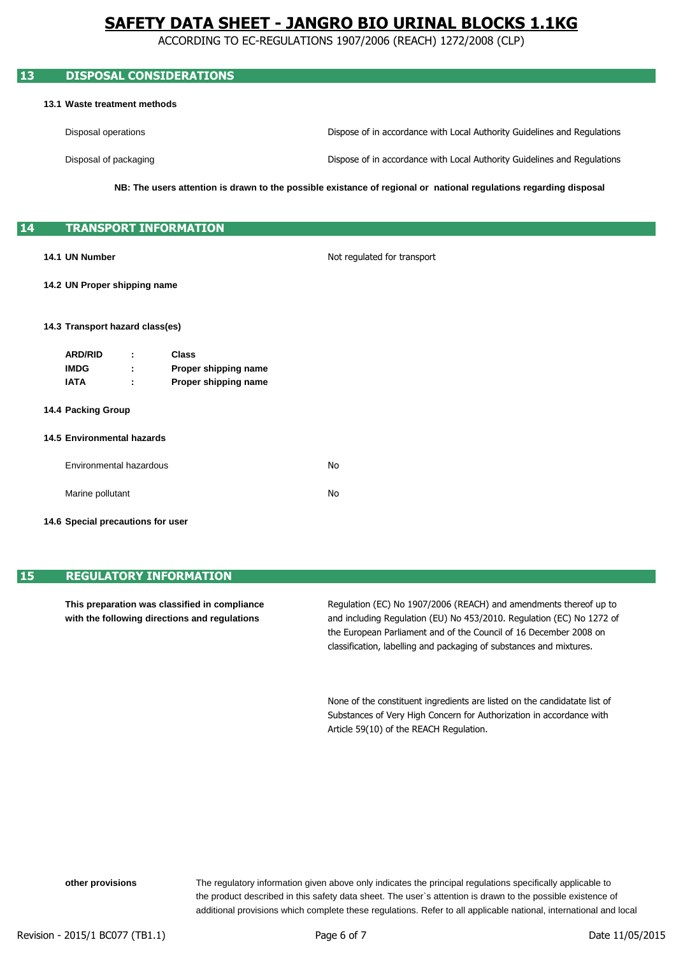ACCORDING TO EC-REGULATIONS 1907/2006 (REACH) 1272/2008 (CLP)

| 13 |                                   |                         | <b>DISPOSAL CONSIDERATIONS</b>               |                                                                                                                   |
|----|-----------------------------------|-------------------------|----------------------------------------------|-------------------------------------------------------------------------------------------------------------------|
|    | 13.1 Waste treatment methods      |                         |                                              |                                                                                                                   |
|    | Disposal operations               |                         |                                              | Dispose of in accordance with Local Authority Guidelines and Regulations                                          |
|    |                                   | Disposal of packaging   |                                              | Dispose of in accordance with Local Authority Guidelines and Regulations                                          |
|    |                                   |                         |                                              | NB: The users attention is drawn to the possible existance of regional or national regulations regarding disposal |
| 14 |                                   |                         | <b>TRANSPORT INFORMATION</b>                 |                                                                                                                   |
|    | 14.1 UN Number                    |                         |                                              | Not regulated for transport                                                                                       |
|    | 14.2 UN Proper shipping name      |                         |                                              |                                                                                                                   |
|    | 14.3 Transport hazard class(es)   |                         |                                              |                                                                                                                   |
|    | <b>ARD/RID</b>                    |                         | <b>Class</b>                                 |                                                                                                                   |
|    | <b>IMDG</b><br><b>IATA</b>        |                         | Proper shipping name<br>Proper shipping name |                                                                                                                   |
|    | 14.4 Packing Group                |                         |                                              |                                                                                                                   |
|    | <b>14.5 Environmental hazards</b> |                         |                                              |                                                                                                                   |
|    |                                   | Environmental hazardous |                                              | No                                                                                                                |
|    | Marine pollutant                  |                         |                                              | No                                                                                                                |

**14.6 Special precautions for user**

### **15 REGULATORY INFORMATION**

**This preparation was classified in compliance with the following directions and regulations**

classification, labelling and packaging of substances and mixtures. and including Regulation (EU) No 453/2010. Regulation (EC) No 1272 of Regulation (EC) No 1907/2006 (REACH) and amendments thereof up to the European Parliament and of the Council of 16 December 2008 on

Article 59(10) of the REACH Regulation. None of the constituent ingredients are listed on the candidatate list of Substances of Very High Concern for Authorization in accordance with

**other provisions**

additional provisions which complete these regulations. Refer to all applicable national, international and local the product described in this safety data sheet. The user`s attention is drawn to the possible existence of The regulatory information given above only indicates the principal regulations specifically applicable to